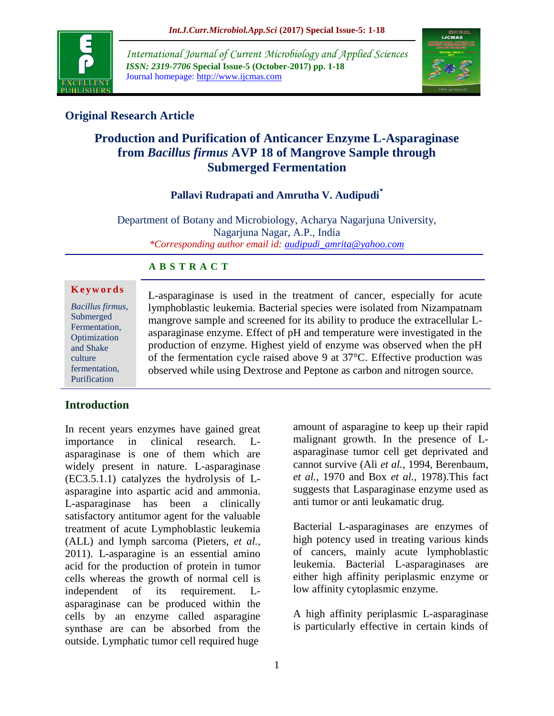

*International Journal of Current Microbiology and Applied Sciences ISSN: 2319-7706* **Special Issue-5 (October-2017) pp. 1-18** Journal homepage: http://www.ijcmas.com



# **Original Research Article**

# **Production and Purification of Anticancer Enzyme L-Asparaginase from** *Bacillus firmus* **AVP 18 of Mangrove Sample through Submerged Fermentation**

#### **Pallavi Rudrapati and Amrutha V. Audipudi\***

Department of Botany and Microbiology, Acharya Nagarjuna University, Nagarjuna Nagar, A.P., India *\*Corresponding author email id: [audipudi\\_amrita@yahoo.com](mailto:audipudi_amrita@yahoo.com)*

#### **A B S T R A C T**

| Keywords                               |  |
|----------------------------------------|--|
| $\mathbf{D}$ $\mathbf{H}$ $\mathbf{C}$ |  |

*Bacillus firmus*, Submerged Fermentation, Optimization and Shake culture fermentation, Purification

L-asparaginase is used in the treatment of cancer, especially for acute lymphoblastic leukemia. Bacterial species were isolated from Nizampatnam mangrove sample and screened for its ability to produce the extracellular Lasparaginase enzyme. Effect of pH and temperature were investigated in the production of enzyme. Highest yield of enzyme was observed when the pH of the fermentation cycle raised above 9 at 37°C. Effective production was observed while using Dextrose and Peptone as carbon and nitrogen source.

# **Introduction**

In recent years enzymes have gained great importance in clinical research. Lasparaginase is one of them which are widely present in nature. L-asparaginase (EC3.5.1.1) catalyzes the hydrolysis of Lasparagine into aspartic acid and ammonia. L-asparaginase has been a clinically satisfactory antitumor agent for the valuable treatment of acute Lymphoblastic leukemia (ALL) and lymph sarcoma (Pieters, *et al.,* 2011). L-asparagine is an essential amino acid for the production of protein in tumor cells whereas the growth of normal cell is independent of its requirement. Lasparaginase can be produced within the cells by an enzyme called asparagine synthase are can be absorbed from the outside. Lymphatic tumor cell required huge

amount of asparagine to keep up their rapid malignant growth. In the presence of Lasparaginase tumor cell get deprivated and cannot survive (Ali *et al.,* 1994, Berenbaum, *et al.,* 1970 and Box *et al.,* 1978).This fact suggests that Lasparaginase enzyme used as anti tumor or anti leukamatic drug.

Bacterial L-asparaginases are enzymes of high potency used in treating various kinds of cancers, mainly acute lymphoblastic leukemia. Bacterial L-asparaginases are either high affinity periplasmic enzyme or low affinity cytoplasmic enzyme.

A high affinity periplasmic L-asparaginase is particularly effective in certain kinds of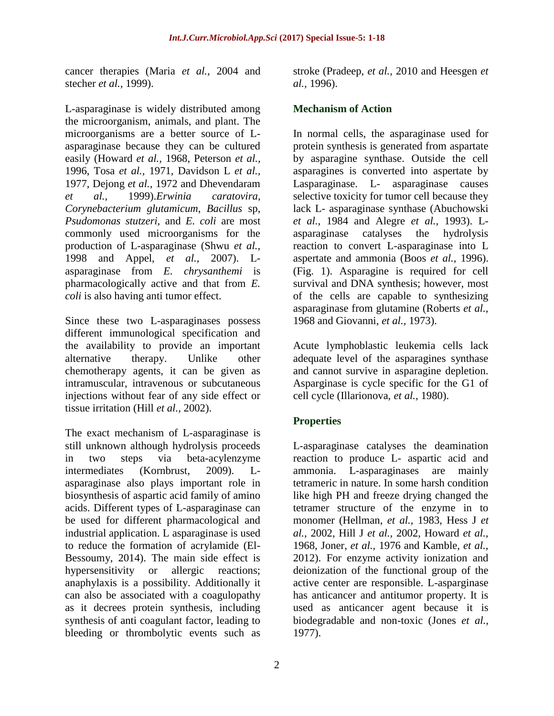cancer therapies (Maria *et al.,* 2004 and stecher *et al.,* 1999).

L-asparaginase is widely distributed among the microorganism, animals, and plant. The microorganisms are a better source of Lasparaginase because they can be cultured easily (Howard *et al.,* 1968, Peterson *et al.,*  1996, Tosa *et al.,* 1971, Davidson L *et al.,* 1977, Dejong *et al.,* 1972 and Dhevendaram *et al.,* 1999).*Erwinia caratovira*, *Corynebacterium glutamicum*, *Bacillus* sp, *Psudomonas stutzeri,* and *E. coli* are most commonly used microorganisms for the production of L-asparaginase (Shwu *et al.,* 1998 and Appel, *et al.,* 2007). Lasparaginase from *E. chrysanthemi* is pharmacologically active and that from *E. coli* is also having anti tumor effect.

Since these two L-asparaginases possess different immunological specification and the availability to provide an important alternative therapy. Unlike other chemotherapy agents, it can be given as intramuscular, intravenous or subcutaneous injections without fear of any side effect or tissue irritation (Hill *et al.,* 2002).

The exact mechanism of L-asparaginase is still unknown although hydrolysis proceeds in two steps via beta-acylenzyme intermediates (Kornbrust, 2009). Lasparaginase also plays important role in biosynthesis of aspartic acid family of amino acids. Different types of L-asparaginase can be used for different pharmacological and industrial application. L asparaginase is used to reduce the formation of acrylamide (El-Bessoumy, 2014). The main side effect is hypersensitivity or allergic reactions; anaphylaxis is a possibility. Additionally it can also be associated with a coagulopathy as it decrees protein synthesis, including synthesis of anti coagulant factor, leading to bleeding or thrombolytic events such as

stroke (Pradeep, *et al.,* 2010 and Heesgen *et al.,* 1996).

### **Mechanism of Action**

In normal cells, the asparaginase used for protein synthesis is generated from aspartate by asparagine synthase. Outside the cell asparagines is converted into aspertate by Lasparaginase. L- asparaginase causes selective toxicity for tumor cell because they lack L- asparaginase synthase (Abuchowski *et al.,* 1984 and Alegre *et al.,* 1993). Lasparaginase catalyses the hydrolysis reaction to convert L-asparaginase into L aspertate and ammonia (Boos *et al.,* 1996). (Fig. 1). Asparagine is required for cell survival and DNA synthesis; however, most of the cells are capable to synthesizing asparaginase from glutamine (Roberts *et al.,*  1968 and Giovanni, *et al.,* 1973).

Acute lymphoblastic leukemia cells lack adequate level of the asparagines synthase and cannot survive in asparagine depletion. Asparginase is cycle specific for the G1 of cell cycle (Illarionova, *et al.,* 1980).

# **Properties**

L-asparaginase catalyses the deamination reaction to produce L- aspartic acid and ammonia. L-asparaginases are mainly tetrameric in nature. In some harsh condition like high PH and freeze drying changed the tetramer structure of the enzyme in to monomer (Hellman, *et al.,* 1983, Hess J *et al.,* 2002, Hill J *et al.,* 2002, Howard *et al.,* 1968, Joner, *et al.,* 1976 and Kamble, *et al.,*  2012). For enzyme activity ionization and deionization of the functional group of the active center are responsible. L-asparginase has anticancer and antitumor property. It is used as anticancer agent because it is biodegradable and non-toxic (Jones *et al.,* 1977).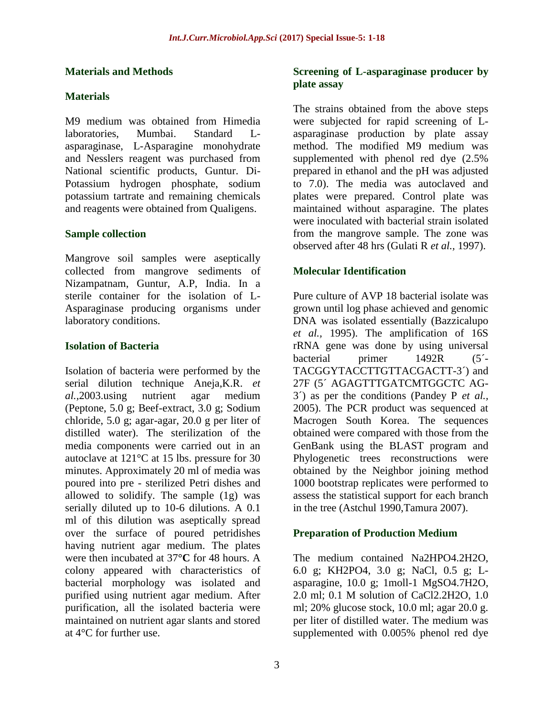#### **Materials and Methods**

# **Materials**

M9 medium was obtained from Himedia laboratories, Mumbai. Standard Lasparaginase, L-Asparagine monohydrate and Nesslers reagent was purchased from National scientific products, Guntur. Di-Potassium hydrogen phosphate, sodium potassium tartrate and remaining chemicals and reagents were obtained from Qualigens.

### **Sample collection**

Mangrove soil samples were aseptically collected from mangrove sediments of Nizampatnam, Guntur, A.P, India. In a sterile container for the isolation of L-Asparaginase producing organisms under laboratory conditions.

### **Isolation of Bacteria**

Isolation of bacteria were performed by the serial dilution technique Aneja,K.R. *et al.,*2003.using nutrient agar medium (Peptone, 5.0 g; Beef-extract, 3.0 g; Sodium chloride, 5.0 g; agar-agar, 20.0 g per liter of distilled water). The sterilization of the media components were carried out in an autoclave at 121°C at 15 lbs. pressure for 30 minutes. Approximately 20 ml of media was poured into pre - sterilized Petri dishes and allowed to solidify. The sample (1g) was serially diluted up to 10-6 dilutions. A 0.1 ml of this dilution was aseptically spread over the surface of poured petridishes having nutrient agar medium. The plates were then incubated at 37**°C** for 48 hours. A colony appeared with characteristics of bacterial morphology was isolated and purified using nutrient agar medium. After purification, all the isolated bacteria were maintained on nutrient agar slants and stored at 4°C for further use.

#### **Screening of L-asparaginase producer by plate assay**

The strains obtained from the above steps were subjected for rapid screening of Lasparaginase production by plate assay method. The modified M9 medium was supplemented with phenol red dye (2.5% prepared in ethanol and the pH was adjusted to 7.0). The media was autoclaved and plates were prepared. Control plate was maintained without asparagine. The plates were inoculated with bacterial strain isolated from the mangrove sample. The zone was observed after 48 hrs (Gulati R *et al.,* 1997).

# **Molecular Identification**

Pure culture of AVP 18 bacterial isolate was grown until log phase achieved and genomic DNA was isolated essentially (Bazzicalupo *et al.,* 1995). The amplification of 16S rRNA gene was done by using universal bacterial primer 1492R (5´- TACGGYTACCTTGTTACGACTT-3´) and 27F (5´ AGAGTTTGATCMTGGCTC AG-3´) as per the conditions (Pandey P *et al.,* 2005). The PCR product was sequenced at Macrogen South Korea. The sequences obtained were compared with those from the GenBank using the BLAST program and Phylogenetic trees reconstructions were obtained by the Neighbor joining method 1000 bootstrap replicates were performed to assess the statistical support for each branch in the tree (Astchul 1990,Tamura 2007).

# **Preparation of Production Medium**

The medium contained Na2HPO4.2H2O, 6.0 g; KH2PO4, 3.0 g; NaCl, 0.5 g; Lasparagine, 10.0 g; 1moll-1 MgSO4.7H2O, 2.0 ml; 0.1 M solution of CaCl2.2H2O, 1.0 ml; 20% glucose stock, 10.0 ml; agar 20.0 g. per liter of distilled water. The medium was supplemented with 0.005% phenol red dye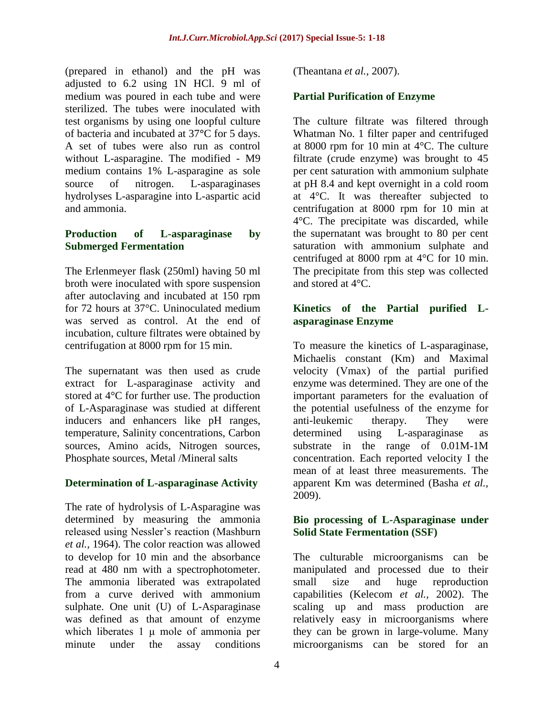(prepared in ethanol) and the pH was adjusted to 6.2 using 1N HCl. 9 ml of medium was poured in each tube and were sterilized. The tubes were inoculated with test organisms by using one loopful culture of bacteria and incubated at 37**°**C for 5 days. A set of tubes were also run as control without L-asparagine. The modified - M9 medium contains 1% L-asparagine as sole source of nitrogen. L-asparaginases hydrolyses L-asparagine into L-aspartic acid and ammonia.

#### **Production of L-asparaginase by Submerged Fermentation**

The Erlenmeyer flask (250ml) having 50 ml broth were inoculated with spore suspension after autoclaving and incubated at 150 rpm for 72 hours at 37°C. Uninoculated medium was served as control. At the end of incubation, culture filtrates were obtained by centrifugation at 8000 rpm for 15 min.

The supernatant was then used as crude extract for L-asparaginase activity and stored at 4°C for further use. The production of L-Asparaginase was studied at different inducers and enhancers like pH ranges, temperature, Salinity concentrations, Carbon sources, Amino acids, Nitrogen sources, Phosphate sources, Metal /Mineral salts

# **Determination of L-asparaginase Activity**

The rate of hydrolysis of L-Asparagine was determined by measuring the ammonia released using Nessler's reaction (Mashburn *et al.,* 1964). The color reaction was allowed to develop for 10 min and the absorbance read at 480 nm with a spectrophotometer. The ammonia liberated was extrapolated from a curve derived with ammonium sulphate. One unit (U) of L-Asparaginase was defined as that amount of enzyme which liberates 1 μ mole of ammonia per minute under the assay conditions

(Theantana *et al.,* 2007).

### **Partial Purification of Enzyme**

The culture filtrate was filtered through Whatman No. 1 filter paper and centrifuged at 8000 rpm for 10 min at 4°C. The culture filtrate (crude enzyme) was brought to 45 per cent saturation with ammonium sulphate at pH 8.4 and kept overnight in a cold room at 4°C. It was thereafter subjected to centrifugation at 8000 rpm for 10 min at 4°C. The precipitate was discarded, while the supernatant was brought to 80 per cent saturation with ammonium sulphate and centrifuged at 8000 rpm at 4°C for 10 min. The precipitate from this step was collected and stored at 4°C.

#### **Kinetics of the Partial purified Lasparaginase Enzyme**

To measure the kinetics of L-asparaginase, Michaelis constant (Km) and Maximal velocity (Vmax) of the partial purified enzyme was determined. They are one of the important parameters for the evaluation of the potential usefulness of the enzyme for anti-leukemic therapy. They were determined using L-asparaginase as substrate in the range of 0.01M-1M concentration. Each reported velocity I the mean of at least three measurements. The apparent Km was determined (Basha *et al.,* 2009).

#### **Bio processing of L-Asparaginase under Solid State Fermentation (SSF)**

The culturable microorganisms can be manipulated and processed due to their small size and huge reproduction capabilities (Kelecom *et al.,* 2002). The scaling up and mass production are relatively easy in microorganisms where they can be grown in large-volume. Many microorganisms can be stored for an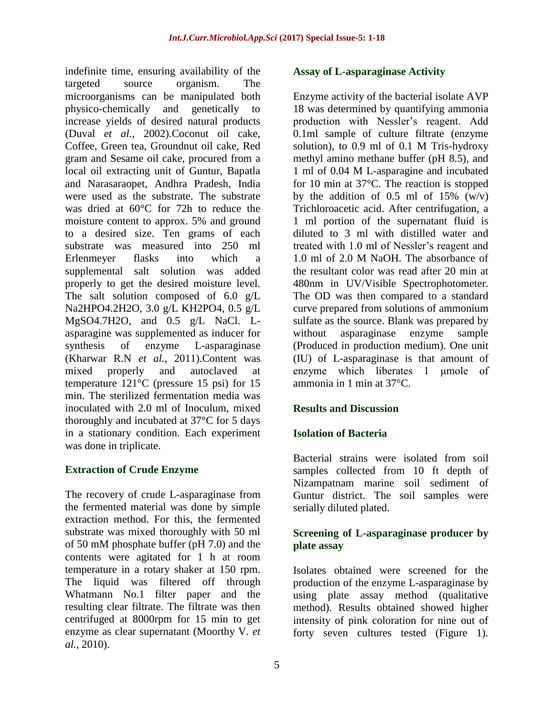indefinite time, ensuring availability of the targeted source organism. The microorganisms can be manipulated both physico-chemically and genetically to increase yields of desired natural products (Duval *et al.,* 2002).Coconut oil cake, Coffee, Green tea, Groundnut oil cake, Red gram and Sesame oil cake, procured from a local oil extracting unit of Guntur, Bapatla and Narasaraopet, Andhra Pradesh, India were used as the substrate. The substrate was dried at 60°C for 72h to reduce the moisture content to approx. 5% and ground to a desired size. Ten grams of each substrate was measured into 250 ml Erlenmeyer flasks into which a supplemental salt solution was added properly to get the desired moisture level. The salt solution composed of 6.0 g/L Na2HPO4.2H2O, 3.0 g/L KH2PO4, 0.5 g/L MgSO4.7H2O, and 0.5 g/L NaCl. Lasparagine was supplemented as inducer for synthesis of enzyme L-asparaginase (Kharwar R.N *et al.,* 2011).Content was mixed properly and autoclaved at temperature 121°C (pressure 15 psi) for 15 min. The sterilized fermentation media was inoculated with 2.0 ml of Inoculum, mixed thoroughly and incubated at 37°C for 5 days in a stationary condition. Each experiment was done in triplicate.

# **Extraction of Crude Enzyme**

The recovery of crude L-asparaginase from the fermented material was done by simple extraction method. For this, the fermented substrate was mixed thoroughly with 50 ml of 50 mM phosphate buffer (pH 7.0) and the contents were agitated for 1 h at room temperature in a rotary shaker at 150 rpm. The liquid was filtered off through Whatmann No.1 filter paper and the resulting clear filtrate. The filtrate was then centrifuged at 8000rpm for 15 min to get enzyme as clear supernatant (Moorthy V. *et al.,* 2010).

#### **Assay of L-asparaginase Activity**

Enzyme activity of the bacterial isolate AVP 18 was determined by quantifying ammonia production with Nessler's reagent. Add 0.1ml sample of culture filtrate (enzyme solution), to 0.9 ml of 0.1 M Tris-hydroxy methyl amino methane buffer (pH 8.5), and 1 ml of 0.04 M L-asparagine and incubated for 10 min at 37°C. The reaction is stopped by the addition of 0.5 ml of 15%  $(W/v)$ Trichloroacetic acid. After centrifugation, a 1 ml portion of the supernatant fluid is diluted to 3 ml with distilled water and treated with 1.0 ml of Nessler's reagent and 1.0 ml of 2.0 M NaOH. The absorbance of the resultant color was read after 20 min at 480nm in UV/Visible Spectrophotometer. The OD was then compared to a standard curve prepared from solutions of ammonium sulfate as the source. Blank was prepared by without asparaginase enzyme sample (Produced in production medium). One unit (IU) of L-asparaginase is that amount of enzyme which liberates 1 μmole of ammonia in 1 min at 37°C.

#### **Results and Discussion**

#### **Isolation of Bacteria**

Bacterial strains were isolated from soil samples collected from 10 ft depth of Nizampatnam marine soil sediment of Guntur district. The soil samples were serially diluted plated.

#### **Screening of L-asparaginase producer by plate assay**

Isolates obtained were screened for the production of the enzyme L-asparaginase by using plate assay method (qualitative method). Results obtained showed higher intensity of pink coloration for nine out of forty seven cultures tested (Figure 1).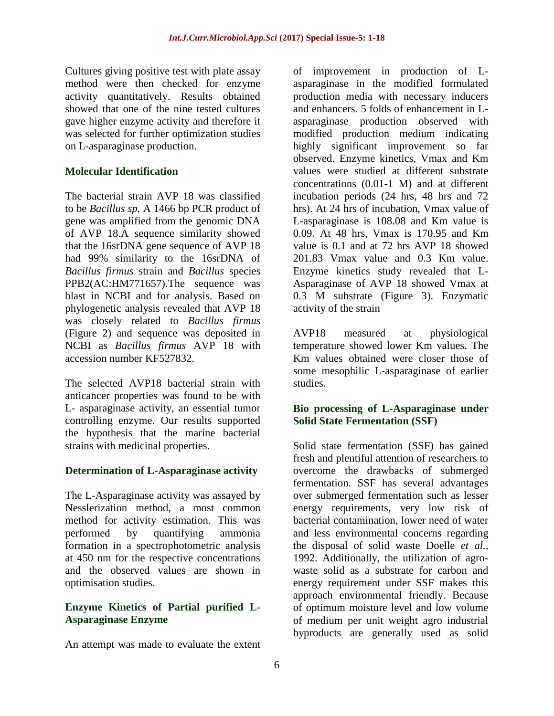Cultures giving positive test with plate assay method were then checked for enzyme activity quantitatively. Results obtained showed that one of the nine tested cultures gave higher enzyme activity and therefore it was selected for further optimization studies on L-asparaginase production.

### **Molecular Identification**

The bacterial strain AVP 18 was classified to be *Bacillus sp.* A 1466 bp PCR product of gene was amplified from the genomic DNA of AVP 18.A sequence similarity showed that the 16srDNA gene sequence of AVP 18 had 99% similarity to the 16srDNA of *Bacillus firmus* strain and *Bacillus* species PPB2(AC:HM771657).The sequence was blast in NCBI and for analysis. Based on phylogenetic analysis revealed that AVP 18 was closely related to *Bacillus firmus*  (Figure 2) and sequence was deposited in NCBI as *Bacillus firmus* AVP 18 with accession number KF527832.

The selected AVP18 bacterial strain with anticancer properties was found to be with L- asparaginase activity, an essential tumor controlling enzyme. Our results supported the hypothesis that the marine bacterial strains with medicinal properties.

# **Determination of L-Asparaginase activity**

The L-Asparaginase activity was assayed by Nesslerization method, a most common method for activity estimation. This was performed by quantifying ammonia formation in a spectrophotometric analysis at 450 nm for the respective concentrations and the observed values are shown in optimisation studies.

### **Enzyme Kinetics of Partial purified L-Asparaginase Enzyme**

An attempt was made to evaluate the extent

of improvement in production of Lasparaginase in the modified formulated production media with necessary inducers and enhancers. 5 folds of enhancement in Lasparaginase production observed with modified production medium indicating highly significant improvement so far observed. Enzyme kinetics, Vmax and Km values were studied at different substrate concentrations (0.01-1 M) and at different incubation periods (24 hrs, 48 hrs and 72 hrs). At 24 hrs of incubation, Vmax value of L-asparaginase is 108.08 and Km value is 0.09. At 48 hrs, Vmax is 170.95 and Km value is 0.1 and at 72 hrs AVP 18 showed 201.83 Vmax value and 0.3 Km value. Enzyme kinetics study revealed that L-Asparaginase of AVP 18 showed Vmax at 0.3 M substrate (Figure 3). Enzymatic activity of the strain

AVP18 measured at physiological temperature showed lower Km values. The Km values obtained were closer those of some mesophilic L-asparaginase of earlier studies.

#### **Bio processing of L-Asparaginase under Solid State Fermentation (SSF)**

Solid state fermentation (SSF) has gained fresh and plentiful attention of researchers to overcome the drawbacks of submerged fermentation. SSF has several advantages over submerged fermentation such as lesser energy requirements, very low risk of bacterial contamination, lower need of water and less environmental concerns regarding the disposal of solid waste Doelle *et al.,* 1992. Additionally, the utilization of agrowaste solid as a substrate for carbon and energy requirement under SSF makes this approach environmental friendly. Because of optimum moisture level and low volume of medium per unit weight agro industrial byproducts are generally used as solid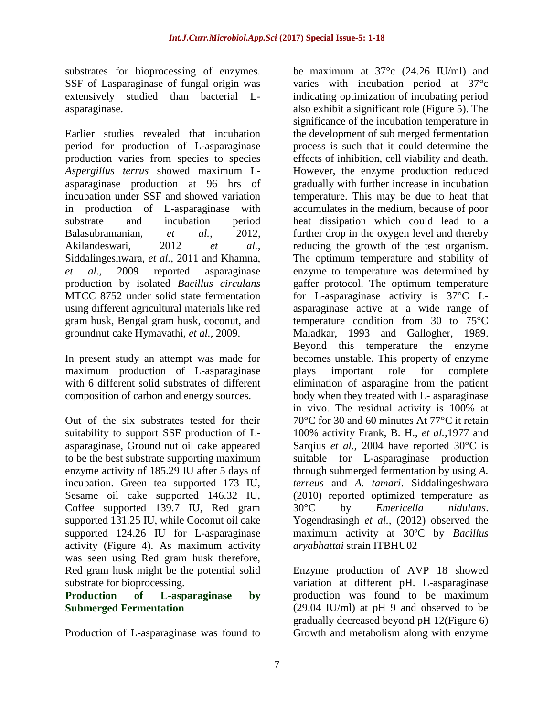substrates for bioprocessing of enzymes. SSF of Lasparaginase of fungal origin was extensively studied than bacterial Lasparaginase.

Earlier studies revealed that incubation period for production of L-asparaginase production varies from species to species *Aspergillus terrus* showed maximum Lasparaginase production at 96 hrs of incubation under SSF and showed variation in production of L-asparaginase with substrate and incubation period Balasubramanian, *et al.,* 2012, Akilandeswari, 2012 *et al.,* Siddalingeshwara, *et al.,* 2011 and Khamna, *et al.,* 2009 reported asparaginase production by isolated *Bacillus circulans*  MTCC 8752 under solid state fermentation using different agricultural materials like red gram husk, Bengal gram husk, coconut, and groundnut cake Hymavathi, *et al.,* 2009.

In present study an attempt was made for maximum production of L-asparaginase with 6 different solid substrates of different composition of carbon and energy sources.

Out of the six substrates tested for their suitability to support SSF production of Lasparaginase, Ground nut oil cake appeared to be the best substrate supporting maximum enzyme activity of 185.29 IU after 5 days of incubation. Green tea supported 173 IU, Sesame oil cake supported 146.32 IU, Coffee supported 139.7 IU, Red gram supported 131.25 IU, while Coconut oil cake supported 124.26 IU for L-asparaginase activity (Figure 4). As maximum activity was seen using Red gram husk therefore, Red gram husk might be the potential solid substrate for bioprocessing.

#### **Production of L-asparaginase by Submerged Fermentation**

Production of L-asparaginase was found to

be maximum at  $37^{\circ}$ c (24.26 IU/ml) and varies with incubation period at 37°c indicating optimization of incubating period also exhibit a significant role (Figure 5). The significance of the incubation temperature in the development of sub merged fermentation process is such that it could determine the effects of inhibition, cell viability and death. However, the enzyme production reduced gradually with further increase in incubation temperature. This may be due to heat that accumulates in the medium, because of poor heat dissipation which could lead to a further drop in the oxygen level and thereby reducing the growth of the test organism. The optimum temperature and stability of enzyme to temperature was determined by gaffer protocol. The optimum temperature for L-asparaginase activity is 37°C Lasparaginase active at a wide range of temperature condition from 30 to 75°C Maladkar, 1993 and Gallogher, 1989. Beyond this temperature the enzyme becomes unstable. This property of enzyme plays important role for complete elimination of asparagine from the patient body when they treated with L- asparaginase in vivo. The residual activity is 100% at 70°C for 30 and 60 minutes At 77°C it retain 100% activity Frank, B. H., *et al.,*1977 and Sarqius *et al.,* 2004 have reported 30°C is suitable for L-asparaginase production through submerged fermentation by using *A. terreus* and *A. tamari*. Siddalingeshwara (2010) reported optimized temperature as 30°C by *Emericella nidulans*. Yogendrasingh *et al.,* (2012) observed the maximum activity at 30ºC by *Bacillus aryabhattai* strain ITBHU02

Enzyme production of AVP 18 showed variation at different pH. L-asparaginase production was found to be maximum (29.04 IU/ml) at pH 9 and observed to be gradually decreased beyond pH 12(Figure 6) Growth and metabolism along with enzyme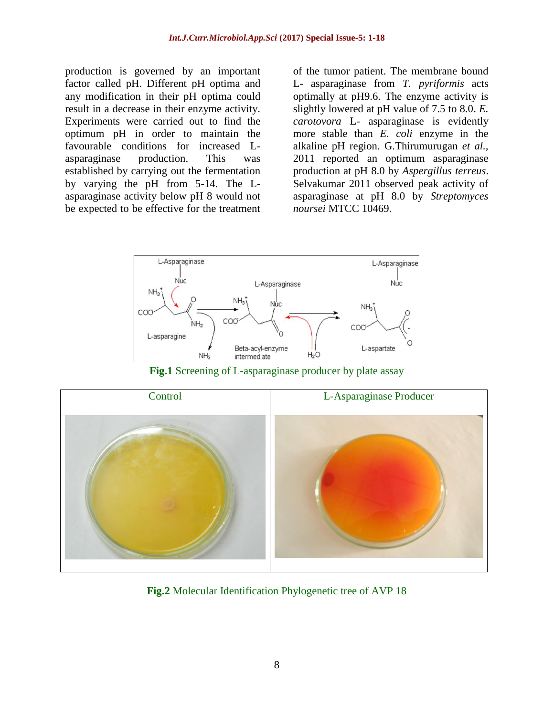production is governed by an important factor called pH. Different pH optima and any modification in their pH optima could result in a decrease in their enzyme activity. Experiments were carried out to find the optimum pH in order to maintain the favourable conditions for increased Lasparaginase production. This was established by carrying out the fermentation by varying the pH from 5-14. The Lasparaginase activity below pH 8 would not be expected to be effective for the treatment

of the tumor patient. The membrane bound L- asparaginase from *T. pyriformis* acts optimally at pH9.6. The enzyme activity is slightly lowered at pH value of 7.5 to 8.0. *E. carotovora* L- asparaginase is evidently more stable than *E. coli* enzyme in the alkaline pH region. G.Thirumurugan *et al.,* 2011 reported an optimum asparaginase production at pH 8.0 by *Aspergillus terreus*. Selvakumar 2011 observed peak activity of asparaginase at pH 8.0 by *Streptomyces noursei* MTCC 10469.



**Fig.1** Screening of L-asparaginase producer by plate assay



**Fig.2** Molecular Identification Phylogenetic tree of AVP 18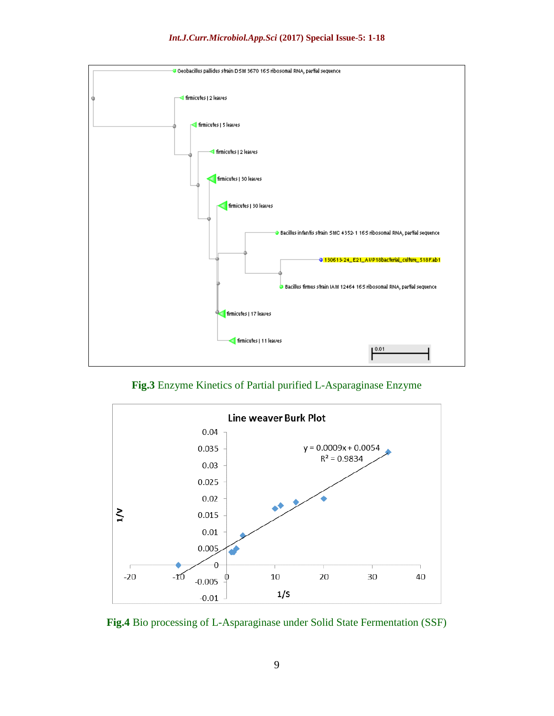



**Fig.3** Enzyme Kinetics of Partial purified L-Asparaginase Enzyme



**Fig.4** Bio processing of L-Asparaginase under Solid State Fermentation (SSF)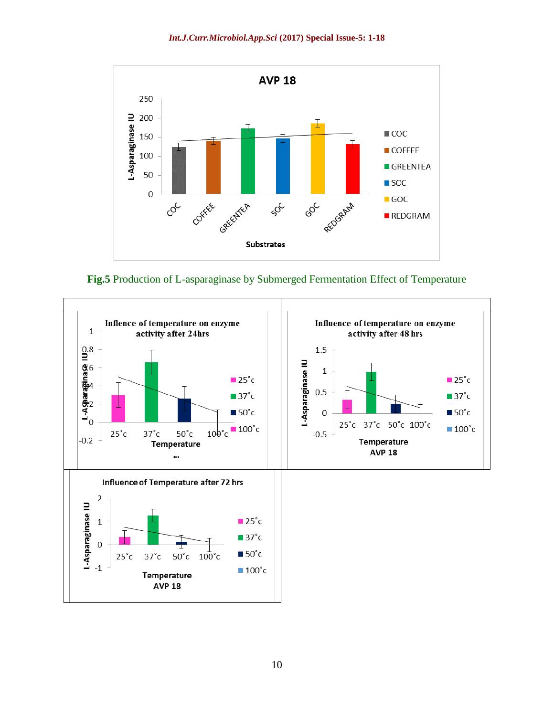

**Fig.5** Production of L-asparaginase by Submerged Fermentation Effect of Temperature

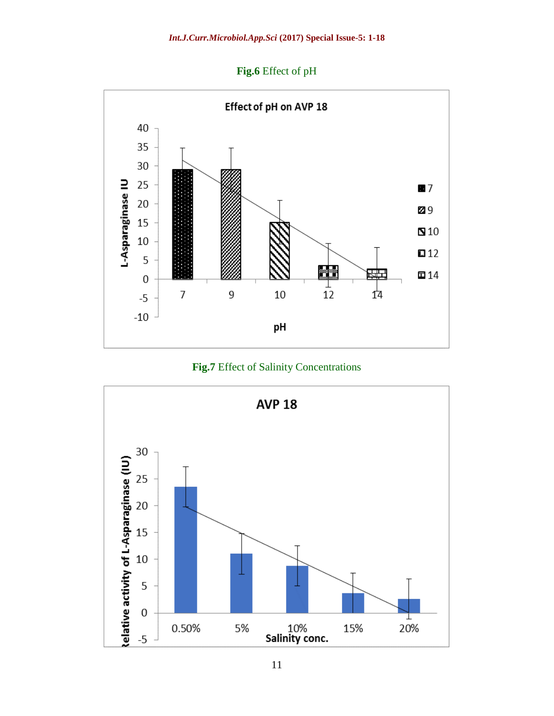**Fig.6** Effect of pH





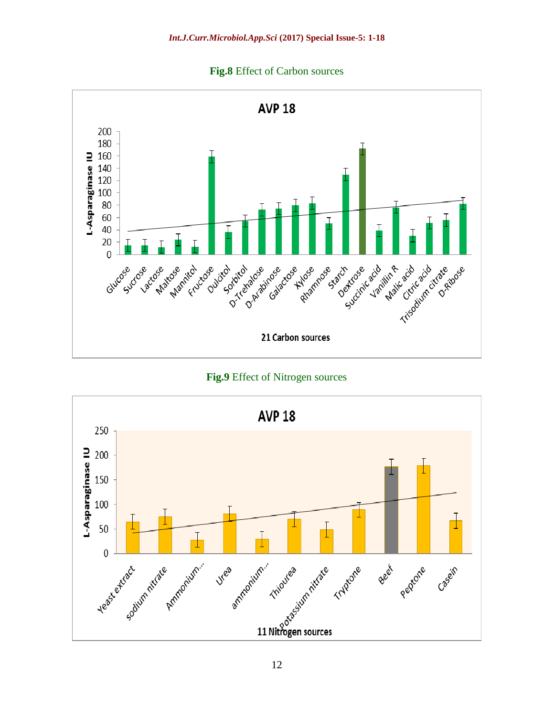



**Fig.9** Effect of Nitrogen sources

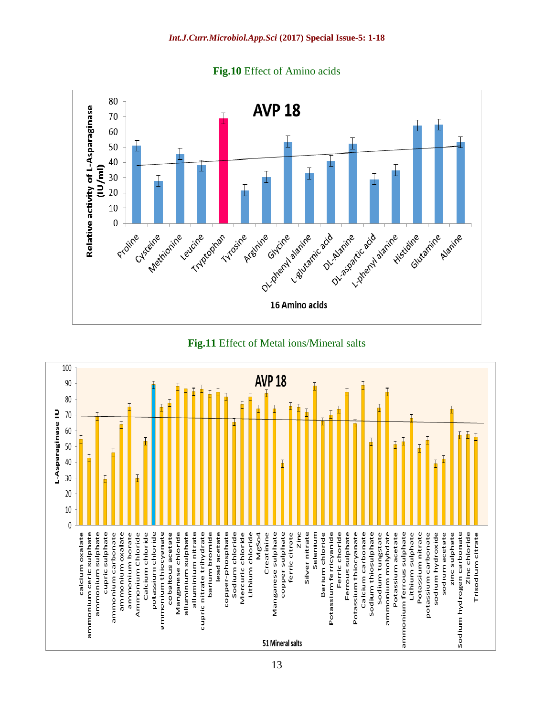





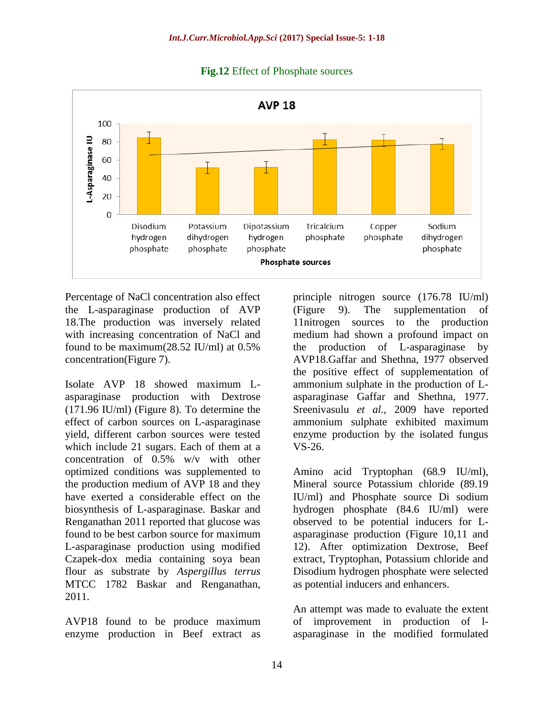

**Fig.12** Effect of Phosphate sources

Percentage of NaCl concentration also effect the L-asparaginase production of AVP 18.The production was inversely related with increasing concentration of NaCl and found to be maximum(28.52 IU/ml) at 0.5% concentration(Figure 7).

Isolate AVP 18 showed maximum Lasparaginase production with Dextrose (171.96 IU/ml) (Figure 8). To determine the effect of carbon sources on L-asparaginase yield, different carbon sources were tested which include 21 sugars. Each of them at a concentration of 0.5% w/v with other optimized conditions was supplemented to the production medium of AVP 18 and they have exerted a considerable effect on the biosynthesis of L-asparaginase. Baskar and Renganathan 2011 reported that glucose was found to be best carbon source for maximum L-asparaginase production using modified Czapek-dox media containing soya bean flour as substrate by *Aspergillus terrus*  MTCC 1782 Baskar and Renganathan, 2011.

AVP18 found to be produce maximum enzyme production in Beef extract as

principle nitrogen source (176.78 IU/ml) (Figure 9). The supplementation of 11nitrogen sources to the production medium had shown a profound impact on the production of L-asparaginase by AVP18.Gaffar and Shethna, 1977 observed the positive effect of supplementation of ammonium sulphate in the production of Lasparaginase Gaffar and Shethna, 1977. Sreenivasulu *et al.,* 2009 have reported ammonium sulphate exhibited maximum enzyme production by the isolated fungus VS-26.

Amino acid Tryptophan (68.9 IU/ml), Mineral source Potassium chloride (89.19 IU/ml) and Phosphate source Di sodium hydrogen phosphate (84.6 IU/ml) were observed to be potential inducers for Lasparaginase production (Figure 10,11 and 12). After optimization Dextrose, Beef extract, Tryptophan, Potassium chloride and Disodium hydrogen phosphate were selected as potential inducers and enhancers.

An attempt was made to evaluate the extent of improvement in production of lasparaginase in the modified formulated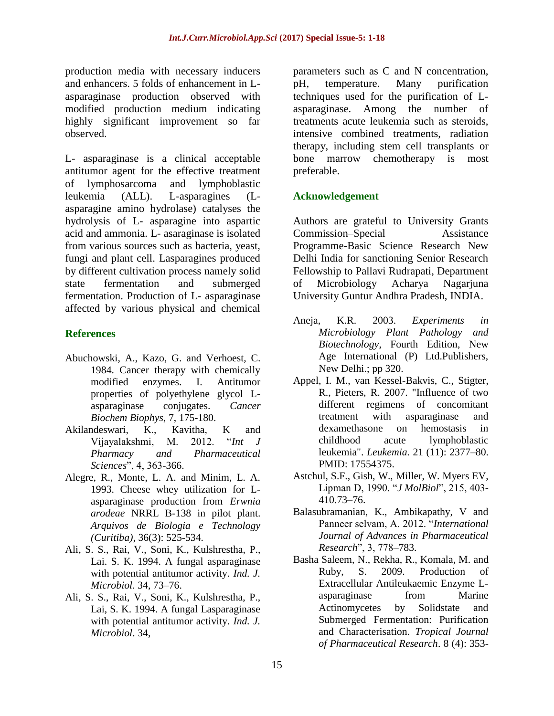production media with necessary inducers and enhancers. 5 folds of enhancement in Lasparaginase production observed with modified production medium indicating highly significant improvement so far observed.

L- asparaginase is a clinical acceptable antitumor agent for the effective treatment of lymphosarcoma and lymphoblastic leukemia (ALL). L-asparagines (Lasparagine amino hydrolase) catalyses the hydrolysis of L- asparagine into aspartic acid and ammonia. L- asaraginase is isolated from various sources such as bacteria, yeast, fungi and plant cell. Lasparagines produced by different cultivation process namely solid state fermentation and submerged fermentation. Production of L- asparaginase affected by various physical and chemical

### **References**

- Abuchowski, A., Kazo, G. and Verhoest, C. 1984. Cancer therapy with chemically modified enzymes. I. Antitumor properties of polyethylene glycol Lasparaginase conjugates. *Cancer Biochem Biophys*, 7, 175-180.
- Akilandeswari, K., Kavitha, K and Vijayalakshmi, M. 2012. ―*Int J Pharmacy and Pharmaceutical Sciences*‖, 4, 363-366.
- Alegre, R., Monte, L. A. and Minim, L. A. 1993. Cheese whey utilization for Lasparaginase production from *Erwnia arodeae* NRRL B-138 in pilot plant. *Arquivos de Biologia e Technology (Curitiba),* 36(3): 525-534.
- Ali, S. S., Rai, V., Soni, K., Kulshrestha, P., Lai. S. K. 1994. A fungal asparaginase with potential antitumor activity. *Ind. J. Microbiol.* 34, 73–76.
- Ali, S. S., Rai, V., Soni, K., Kulshrestha, P., Lai, S. K. 1994. A fungal Lasparaginase with potential antitumor activity. *Ind. J. Microbiol*. 34,

parameters such as C and N concentration, pH, temperature. Many purification techniques used for the purification of Lasparaginase. Among the number of treatments acute leukemia such as steroids, intensive combined treatments, radiation therapy, including stem cell transplants or bone marrow chemotherapy is most preferable.

# **Acknowledgement**

Authors are grateful to University Grants Commission–Special Assistance Programme-Basic Science Research New Delhi India for sanctioning Senior Research Fellowship to Pallavi Rudrapati, Department of Microbiology Acharya Nagarjuna University Guntur Andhra Pradesh, INDIA.

- Aneja, K.R. 2003. *Experiments in Microbiology Plant Pathology and Biotechnology*, Fourth Edition, New Age International (P) Ltd.Publishers, New Delhi.; pp 320.
- Appel, I. M., van Kessel-Bakvis, C., Stigter, R., Pieters, R. 2007. "Influence of two different regimens of concomitant treatment with asparaginase and dexamethasone on hemostasis in childhood acute lymphoblastic leukemia". *Leukemia.* 21 (11): 2377–80. PMID: 17554375.
- Astchul, S.F., Gish, W., Miller, W. Myers EV, Lipman D, 1990. "*J MolBiol*", 215, 403-410.73–76.
- Balasubramanian, K., Ambikapathy, V and Panneer selvam, A. 2012. "International *Journal of Advances in Pharmaceutical Research*‖, 3, 778–783.
- Basha Saleem, N., Rekha, R., Komala, M. and Ruby, S. 2009. Production of Extracellular Antileukaemic Enzyme Lasparaginase from Marine Actinomycetes by Solidstate and Submerged Fermentation: Purification and Characterisation. *Tropical Journal of Pharmaceutical Research*. 8 (4): 353-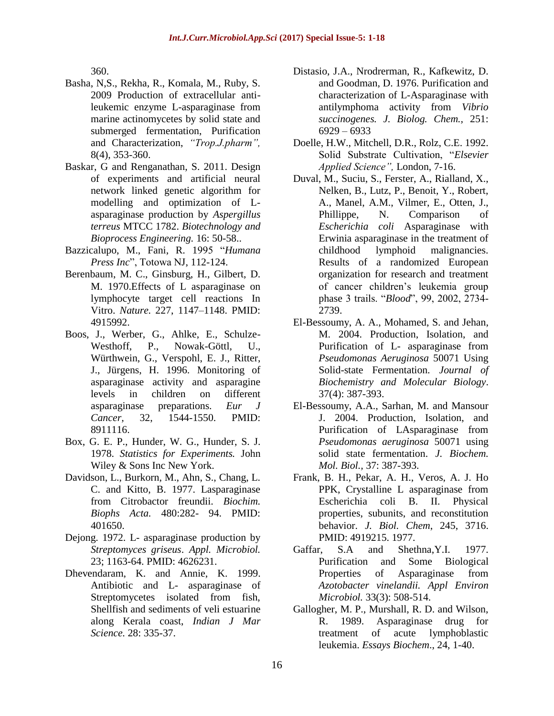360.

- Basha, N,S., Rekha, R., Komala, M., Ruby, S. 2009 Production of extracellular antileukemic enzyme L-asparaginase from marine actinomycetes by solid state and submerged fermentation, Purification and Characterization, *"Trop.J.pharm",* 8(4), 353-360.
- Baskar, G and Renganathan, S. 2011. Design of experiments and artificial neural network linked genetic algorithm for modelling and optimization of Lasparaginase production by *Aspergillus terreus* MTCC 1782. *Biotechnology and Bioprocess Engineering.* 16: 50-58..
- Bazzicalupo, M., Fani, R. 1995 "Humana *Press Inc*", Totowa NJ, 112-124.
- Berenbaum, M. C., Ginsburg, H., Gilbert, D. M. 1970.Effects of L asparaginase on lymphocyte target cell reactions In Vitro. *Nature.* 227, 1147–1148. PMID: 4915992.
- Boos, J., Werber, G., Ahlke, E., Schulze-Westhoff, P., Nowak-Göttl, U., Würthwein, G., Verspohl, E. J., Ritter, J., Jürgens, H. 1996. Monitoring of asparaginase activity and asparagine levels in children on different asparaginase preparations. *Eur J Cancer,* 32, 1544-1550. PMID: 8911116.
- Box, G. E. P., Hunder, W. G., Hunder, S. J. 1978. *Statistics for Experiments.* John Wiley & Sons Inc New York.
- Davidson, L., Burkorn, M., Ahn, S., Chang, L. C. and Kitto, B. 1977. Lasparaginase from Citrobactor freundii. *Biochim. Biophs Acta.* 480:282- 94. PMID: 401650.
- Dejong. 1972. L- asparaginase production by *Streptomyces griseus*. *Appl. Microbiol.* 23; 1163-64. PMID: 4626231.
- Dhevendaram, K. and Annie, K. 1999. Antibiotic and L- asparaginase of Streptomycetes isolated from fish, Shellfish and sediments of veli estuarine along Kerala coast, *Indian J Mar Science.* 28: 335-37.
- Distasio, J.A., Nrodrerman, R., Kafkewitz, D. and Goodman, D. 1976. Purification and characterization of L-Asparaginase with antilymphoma activity from *Vibrio succinogenes. J. Biolog. Chem.,* 251: 6929 – 6933
- Doelle, H.W., Mitchell, D.R., Rolz, C.E. 1992. Solid Substrate Cultivation, "Elsevier *Applied Science",* London, 7-16.
- Duval, M., Suciu, S., Ferster, A., Rialland, X., Nelken, B., Lutz, P., Benoit, Y., Robert, A., Manel, A.M., Vilmer, E., Otten, J., Phillippe, N. Comparison of *Escherichia coli* Asparaginase with Erwinia asparaginase in the treatment of childhood lymphoid malignancies. Results of a randomized European organization for research and treatment of cancer children's leukemia group phase 3 trails. "*Blood*", 99, 2002, 2734-2739.
- El-Bessoumy, A. A., Mohamed, S. and Jehan, M. 2004. Production, Isolation, and Purification of L- asparaginase from *Pseudomonas Aeruginosa* 50071 Using Solid-state Fermentation. *Journal of Biochemistry and Molecular Biology*. 37(4): 387-393.
- El-Bessoumy, A.A., Sarhan, M. and Mansour J. 2004. Production, Isolation, and Purification of LAsparaginase from *Pseudomonas aeruginosa* 50071 using solid state fermentation. *J. Biochem. Mol. Biol.,* 37: 387-393.
- Frank, B. H., Pekar, A. H., Veros, A. J. Ho PPK, Crystalline L asparaginase from Escherichia coli B. II. Physical properties, subunits, and reconstitution behavior. *J. Biol. Chem*, 245, 3716. PMID: 4919215. 1977.
- Gaffar, S.A and Shethna,Y.I. 1977. Purification and Some Biological Properties of Asparaginase from *Azotobacter vinelandii. Appl Environ Microbiol.* 33(3): 508-514.
- Gallogher, M. P., Murshall, R. D. and Wilson, R. 1989. Asparaginase drug for treatment of acute lymphoblastic leukemia. *Essays Biochem*., 24, 1-40.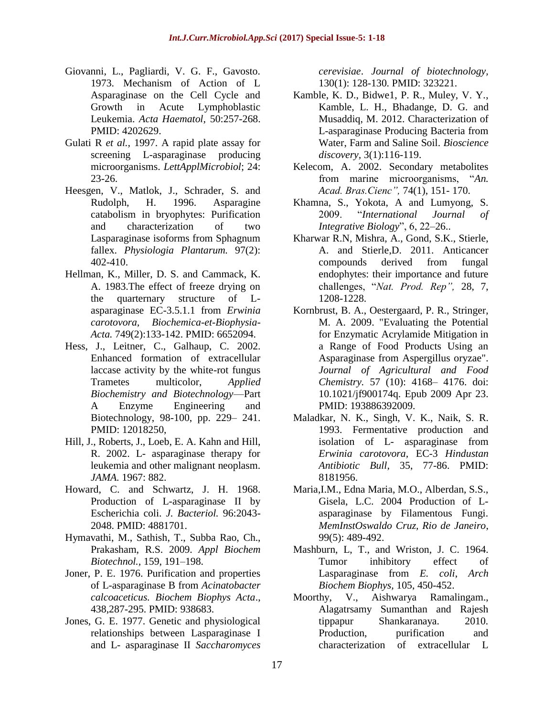- Giovanni, L., Pagliardi, V. G. F., Gavosto. 1973. Mechanism of Action of L Asparaginase on the Cell Cycle and Growth in Acute Lymphoblastic Leukemia. *Acta Haematol,* 50:257-268. PMID: 4202629.
- Gulati R *et al.,* 1997. A rapid plate assay for screening L-asparaginase producing microorganisms. *LettApplMicrobiol*; 24: 23-26.
- Heesgen, V., Matlok, J., Schrader, S. and Rudolph, H. 1996. Asparagine catabolism in bryophytes: Purification and characterization of two Lasparaginase isoforms from Sphagnum fallex. *Physiologia Plantarum.* 97(2): 402-410.
- Hellman, K., Miller, D. S. and Cammack, K. A. 1983.The effect of freeze drying on the quarternary structure of Lasparaginase EC-3.5.1.1 from *Erwinia carotovora, Biochemica-et-Biophysia-Acta.* 749(2):133-142. PMID: 6652094.
- Hess, J., Leitner, C., Galhaup, C. 2002. Enhanced formation of extracellular laccase activity by the white-rot fungus Trametes multicolor, *Applied Biochemistry and Biotechnology*—Part A Enzyme Engineering and Biotechnology, 98-100, pp. 229– 241. PMID: 12018250,
- Hill, J., Roberts, J., Loeb, E. A. Kahn and Hill, R. 2002. L- asparaginase therapy for leukemia and other malignant neoplasm. *JAMA.* 1967: 882.
- Howard, C. and Schwartz, J. H. 1968. Production of L-asparaginase II by Escherichia coli. *J. Bacteriol.* 96:2043- 2048. PMID: 4881701.
- Hymavathi, M., Sathish, T., Subba Rao, Ch., Prakasham, R.S. 2009. *Appl Biochem Biotechnol.,* 159, 191–198.
- Joner, P. E. 1976. Purification and properties of L-asparaginase B from *Acinatobacter calcoaceticus. Biochem Biophys Acta*., 438,287-295. PMID: 938683.
- Jones, G. E. 1977. Genetic and physiological relationships between Lasparaginase I and L- asparaginase II *Saccharomyces*

*cerevisiae*. *Journal of biotechnology,* 130(1): 128-130. PMID: 323221.

- Kamble, K. D., Bidwe1, P. R., Muley, V. Y., Kamble, L. H., Bhadange, D. G. and Musaddiq, M. 2012. Characterization of L-asparaginase Producing Bacteria from Water, Farm and Saline Soil. *Bioscience discovery,* 3(1):116-119.
- Kelecom, A. 2002. Secondary metabolites from marine microorganisms, "An. *Acad. Bras.Cienc",* 74(1), 151- 170.
- Khamna, S., Yokota, A and Lumyong, S. 2009. ―*International Journal of Integrative Biology*", 6, 22–26...
- Kharwar R.N, Mishra, A., Gond, S.K., Stierle, A. and Stierle,D. 2011. Anticancer compounds derived from fungal endophytes: their importance and future challenges, ―*Nat. Prod. Rep",* 28, 7, 1208-1228.
- Kornbrust, B. A., Oestergaard, P. R., Stringer, M. A. 2009. "Evaluating the Potential for Enzymatic Acrylamide Mitigation in a Range of Food Products Using an Asparaginase from Aspergillus oryzae". *Journal of Agricultural and Food Chemistry.* 57 (10): 4168– 4176. doi: 10.1021/jf900174q. Epub 2009 Apr 23. PMID: 193886392009.
- Maladkar, N. K., Singh, V. K., Naik, S. R. 1993. Fermentative production and isolation of L- asparaginase from *Erwinia carotovora,* EC-3 *Hindustan Antibiotic Bull,* 35, 77-86. PMID: 8181956.
- Maria,I.M., Edna Maria, M.O., Alberdan, S.S., Gisela, L.C. 2004 Production of Lasparaginase by Filamentous Fungi. *MemInstOswaldo Cruz, Rio de Janeiro*, 99(5): 489-492.
- Mashburn, L, T., and Wriston, J. C. 1964. Tumor inhibitory effect of Lasparaginase from *E. coli*, *Arch Biochem Biophys,* 105, 450-452.
- Moorthy, V., Aishwarya Ramalingam., Alagatrsamy Sumanthan and Rajesh tippapur Shankaranaya. 2010. Production, purification and characterization of extracellular L